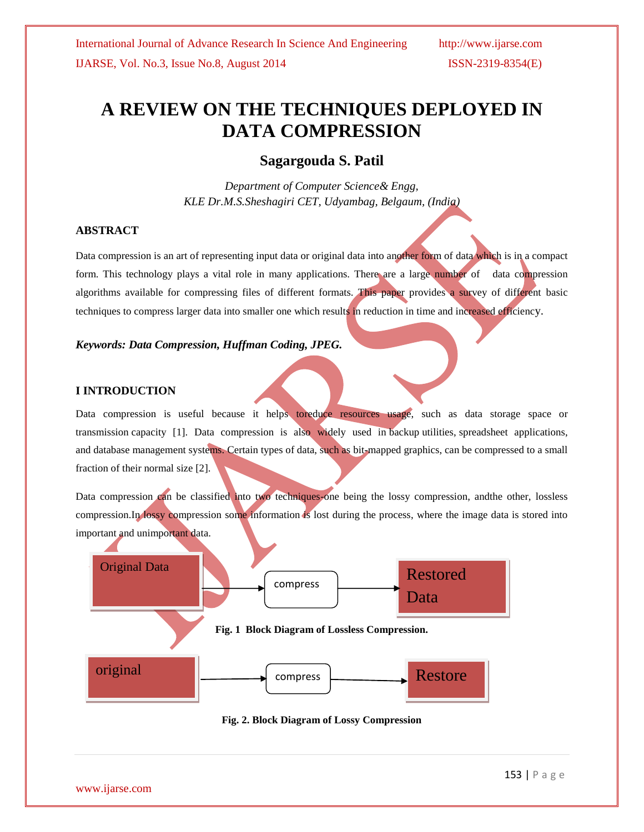# **A REVIEW ON THE TECHNIQUES DEPLOYED IN DATA COMPRESSION**

## **Sagargouda S. Patil**

*Department of Computer Science& Engg, KLE Dr.M.S.Sheshagiri CET, Udyambag, Belgaum, (India)*

#### **ABSTRACT**

Data compression is an art of representing input data or original data into another form of data which is in a compact form. This technology plays a vital role in many applications. There are a large number of data compression algorithms available for compressing files of different formats. This paper provides a survey of different basic techniques to compress larger data into smaller one which results in reduction in time and increased efficiency.

#### *Keywords: Data Compression, Huffman Coding, JPEG.*

#### **I INTRODUCTION**

Data compression is useful because it helps toreduce resources usage, such as data storage space or transmission capacity [1]. Data compression is also widely used in [backup](http://www.webopedia.com/TERM/B/backup.html) [utilities,](http://www.webopedia.com/TERM/U/utility.html) [spreadsheet applications,](http://www.webopedia.com/TERM/S/spreadsheet.html) and [database management systems.](http://www.webopedia.com/TERM/D/database_management_system_DBMS.html) Certain types of data, such as [bit-mapped graphics,](http://www.webopedia.com/TERM/B/bit_mapped_graphics.html) can be compressed to a small fraction of their normal size [2].

Data compression can be classified into two techniques-one being the lossy compression, andthe other, lossless compression.In lossy compression some information is lost during the process, where the image data is stored into important and unimportant data.



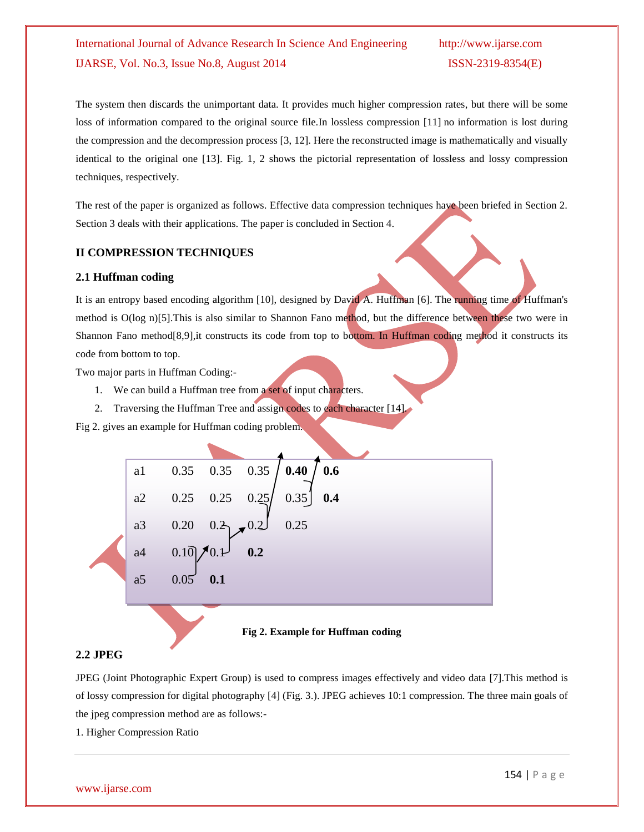## International Journal of Advance Research In Science And Engineering http://www.ijarse.com IJARSE, Vol. No.3, Issue No.8, August 2014 ISSN-2319-8354(E)

The system then discards the unimportant data. It provides much higher compression rates, but there will be some loss of information compared to the original source file.In lossless compression [11] no information is lost during the compression and the decompression process [3, 12]. Here the reconstructed image is mathematically and visually identical to the original one [13]. Fig. 1, 2 shows the pictorial representation of lossless and lossy compression techniques, respectively.

The rest of the paper is organized as follows. Effective data compression techniques have been briefed in Section 2. Section 3 deals with their applications. The paper is concluded in Section 4.

#### **II COMPRESSION TECHNIQUES**

#### **2.1 Huffman coding**

It is an entropy based encoding algorithm [10], designed by David A. Huffman [6]. The running time of Huffman's method is O(log n)[5]. This is also similar to Shannon Fano method, but the difference between these two were in Shannon Fano method[8,9],it constructs its code from top to bottom. In Huffman coding method it constructs its code from bottom to top.

Two major parts in Huffman Coding:-

- 1. We can build a Huffman tree from a set of input characters.
- 2. Traversing the Huffman Tree and assign codes to each character [14].

Fig 2. gives an example for Huffman coding problem.



#### **Fig 2. Example for Huffman coding**

#### **2.2 JPEG**

JPEG (Joint Photographic Expert Group) is used to compress images effectively and video data [7].This method is of [lossy compression](http://en.wikipedia.org/wiki/Lossy_compression) for [digital photography \[](http://en.wikipedia.org/wiki/Digital_photography)4] (Fig. 3.). JPEG achieves 10:1 compression. The three main goals of the jpeg compression method are as follows:-

1. Higher Compression Ratio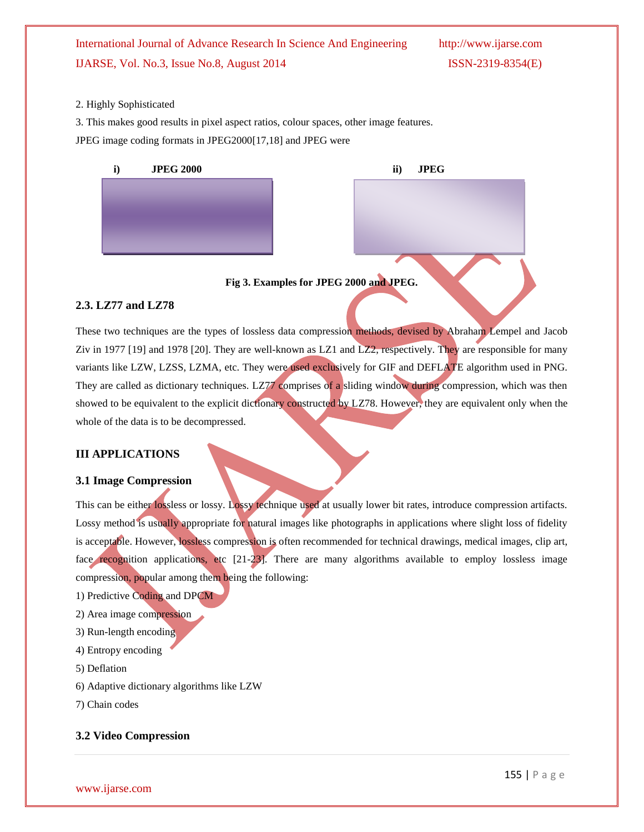## International Journal of Advance Research In Science And Engineering http://www.ijarse.com IJARSE, Vol. No.3, Issue No.8, August 2014 ISSN-2319-8354(E)

#### 2. Highly Sophisticated

3. This makes good results in pixel aspect ratios, colour spaces, other image features. JPEG image coding formats in JPEG2000[17,18] and JPEG were



**Fig 3. Examples for JPEG 2000 and JPEG.**

#### **2.3. LZ77 and LZ78**

These two techniques are the types of lossless data compression methods, devised by Abraham Lempel and Jacob Ziv in 1977 [19] and 1978 [20]. They are well-known as LZ1 and LZ2, respectively. They are responsible for many variants like LZW, LZSS, LZMA, etc. They were used exclusively for GIF and DEFLATE algorithm used in PNG. They are called as dictionary techniques. LZ77 comprises of a sliding window during compression, which was then showed to be equivalent to the explicit dictionary constructed by LZ78. However, they are equivalent only when the whole of the data is to be decompressed.

#### **III APPLICATIONS**

#### **3.1 Image Compression**

This can be either lossless or lossy. Lossy technique used at usually lower bit rates, introduce compression artifacts. Lossy method is usually appropriate for natural images like photographs in applications where slight loss of fidelity is acceptable. However, lossless compression is often recommended for technical drawings, medical images, clip art, face recognition applications, etc [21-23]. There are many algorithms available to employ lossless image compression, popular among them being the following:

- 1) Predictive Coding and DPCM
- 2) Area image compression
- 3) Run-length encoding
- 4) Entropy encoding
- 5) Deflation
- 6) Adaptive dictionary algorithms like LZW
- 7) Chain codes

### **3.2 Video Compression**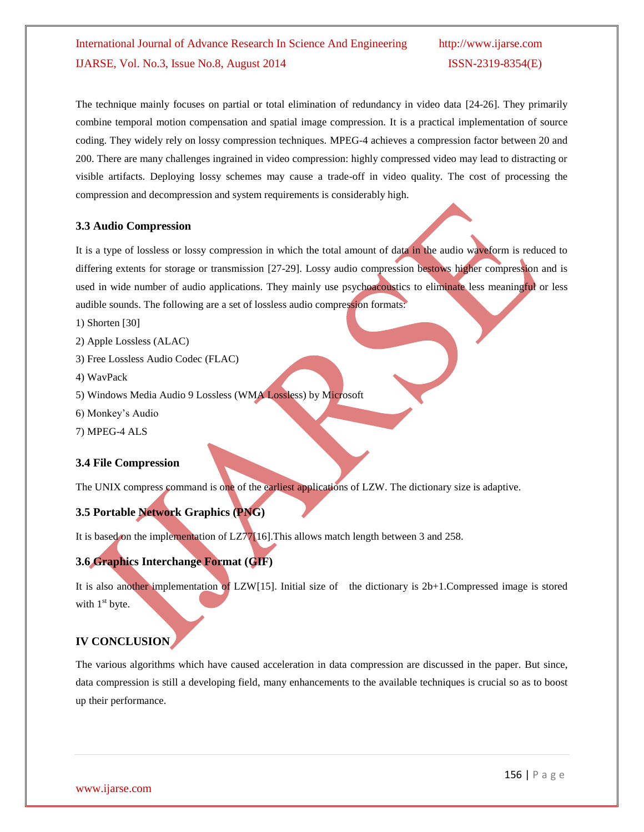## International Journal of Advance Research In Science And Engineering http://www.ijarse.com IJARSE, Vol. No.3, Issue No.8, August 2014 ISSN-2319-8354(E)

The technique mainly focuses on partial or total elimination of redundancy in video data [24-26]. They primarily combine temporal motion compensation and spatial image compression. It is a practical implementation of source coding. They widely rely on lossy compression techniques. MPEG-4 achieves a compression factor between 20 and 200. There are many challenges ingrained in video compression: highly compressed video may lead to distracting or visible artifacts. Deploying lossy schemes may cause a trade-off in video quality. The cost of processing the compression and decompression and system requirements is considerably high.

#### **3.3 Audio Compression**

It is a type of lossless or lossy compression in which the total amount of data in the audio waveform is reduced to differing extents for storage or transmission [27-29]. Lossy audio compression bestows higher compression and is used in wide number of audio applications. They mainly use psychoacoustics to eliminate less meaningful or less audible sounds. The following are a set of lossless audio compression formats:

- 1) Shorten [30]
- 2) Apple Lossless (ALAC)
- 3) Free Lossless Audio Codec (FLAC)
- 4) WavPack
- 5) Windows Media Audio 9 Lossless (WMA Lossless) by Microsoft
- 6) Monkey's Audio
- 7) MPEG-4 ALS

#### **3.4 File Compression**

The UNIX compress command is one of the earliest applications of LZW. The dictionary size is adaptive.

### **3.5 Portable Network Graphics (PNG)**

It is based on the implementation of LZ77[16].This allows match length between 3 and 258.

#### **3.6 Graphics Interchange Format (GIF)**

It is also another implementation of LZW[15]. Initial size of the dictionary is 2b+1.Compressed image is stored with  $1<sup>st</sup>$  byte.

## **IV CONCLUSION**

The various algorithms which have caused acceleration in data compression are discussed in the paper. But since, data compression is still a developing field, many enhancements to the available techniques is crucial so as to boost up their performance.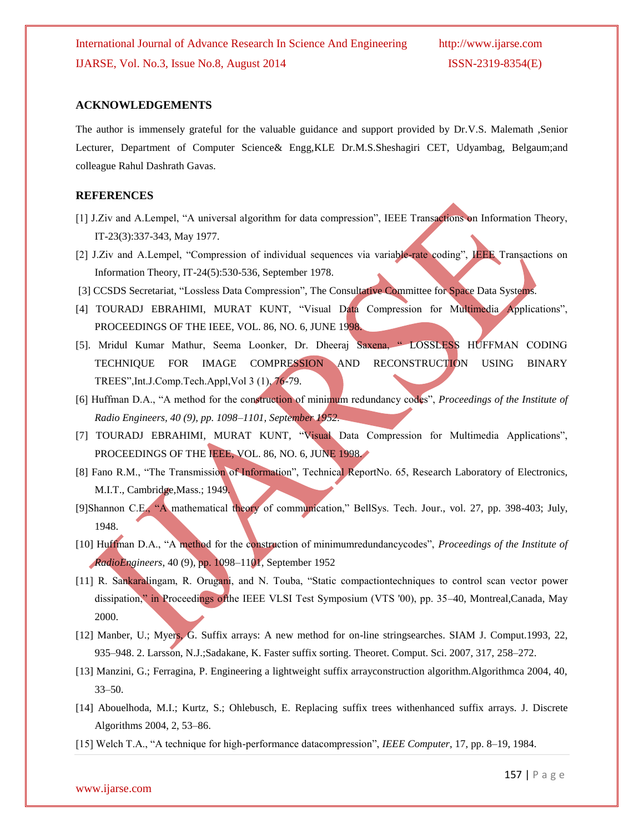#### **ACKNOWLEDGEMENTS**

The author is immensely grateful for the valuable guidance and support provided by Dr.V.S. Malemath ,Senior Lecturer, Department of Computer Science& Engg,KLE Dr.M.S.Sheshagiri CET, Udyambag, Belgaum;and colleague Rahul Dashrath Gavas.

#### **REFERENCES**

- [1] J.Ziv and A.Lempel, "A universal algorithm for data compression", IEEE Transactions on Information Theory, IT-23(3):337-343, May 1977.
- [2] J.Ziv and A.Lempel, "Compression of individual sequences via variable-rate coding", IEEE Transactions on Information Theory, IT-24(5):530-536, September 1978.
- [3] CCSDS Secretariat, "Lossless Data Compression", The Consultative Committee for Space Data Systems.
- [4] TOURADJ EBRAHIMI, MURAT KUNT, "Visual Data Compression for Multimedia Applications", PROCEEDINGS OF THE IEEE, VOL. 86, NO. 6, JUNE 1998.
- [5]. Mridul Kumar Mathur, Seema Loonker, Dr. Dheeraj Saxena, " LOSSLESS HUFFMAN CODING TECHNIQUE FOR IMAGE COMPRESSION AND RECONSTRUCTION USING BINARY TREES",Int.J.Comp.Tech.Appl,Vol 3 (1), 76-79.
- [6] Huffman D.A., "A method for the construction of minimum redundancy codes", *Proceedings of the Institute of Radio Engineers, 40 (9), pp. 1098–1101, September 1952.*
- [7] TOURADJ EBRAHIMI, MURAT KUNT, "Visual Data Compression for Multimedia Applications", PROCEEDINGS OF THE IEEE, VOL. 86, NO. 6, JUNE 1998.
- [8] Fano R.M., "The Transmission of Information", Technical ReportNo. 65, Research Laboratory of Electronics, M.I.T., Cambridge,Mass.; 1949.
- [9]Shannon C.E., "A mathematical theory of communication," BellSys. Tech. Jour., vol. 27, pp. 398-403; July, 1948.
- [10] Huffman D.A., "A method for the construction of minimumredundancycodes", *Proceedings of the Institute of RadioEngineers*, 40 (9), pp. 1098–1101, September 1952
- [11] R. Sankaralingam, R. Orugani, and N. Touba, "Static compactiontechniques to control scan vector power dissipation," in Proceedings ofthe IEEE VLSI Test Symposium (VTS '00), pp. 35–40, Montreal,Canada, May 2000.
- [12] Manber, U.; Myers, G. Suffix arrays: A new method for on-line stringsearches. SIAM J. Comput.1993, 22, 935–948. 2. Larsson, N.J.;Sadakane, K. Faster suffix sorting. Theoret. Comput. Sci. 2007, 317, 258–272.
- [13] Manzini, G.; Ferragina, P. Engineering a lightweight suffix arrayconstruction algorithm.Algorithmca 2004, 40, 33–50.
- [14] Abouelhoda, M.I.; Kurtz, S.; Ohlebusch, E. Replacing suffix trees withenhanced suffix arrays. J. Discrete Algorithms 2004, 2, 53–86.
- [15] Welch T.A., "A technique for high-performance datacompression", *IEEE Computer*, 17, pp. 8–19, 1984.